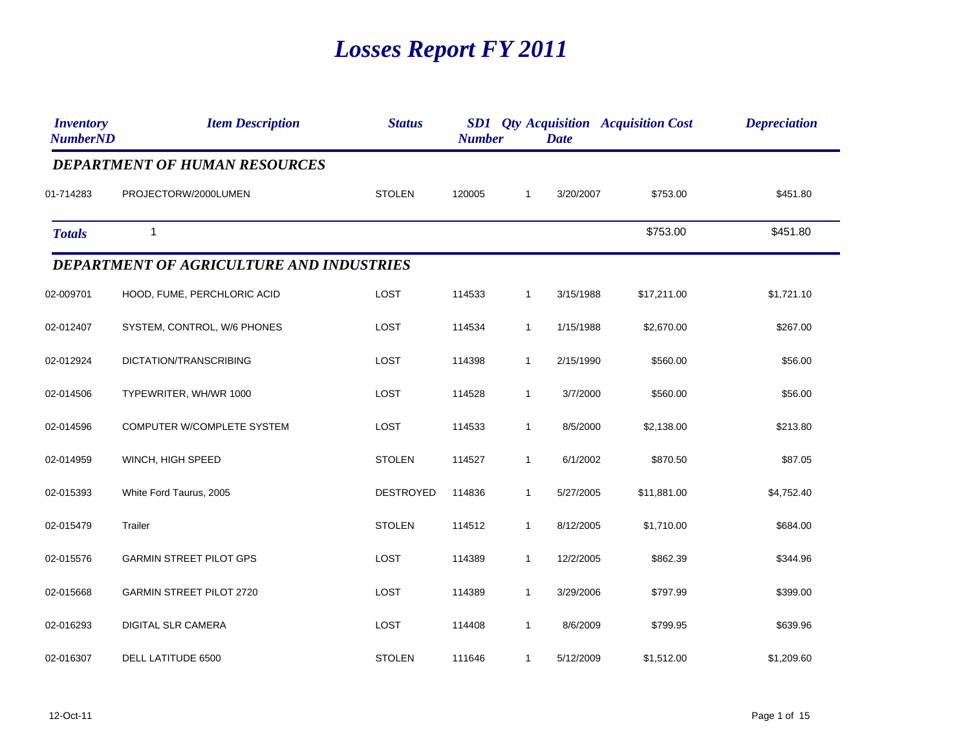## *Losses Report FY 2011*

| <i><b>Inventory</b></i><br><b>NumberND</b> | <b>Item Description</b>                         | <b>Status</b>    | <b>Number</b> |              | <b>Date</b> | <b>SD1</b> <i>Qty Acquisition Acquisition Cost</i> | <b>Depreciation</b> |
|--------------------------------------------|-------------------------------------------------|------------------|---------------|--------------|-------------|----------------------------------------------------|---------------------|
|                                            | <b>DEPARTMENT OF HUMAN RESOURCES</b>            |                  |               |              |             |                                                    |                     |
| 01-714283                                  | PROJECTORW/2000LUMEN                            | <b>STOLEN</b>    | 120005        | 1            | 3/20/2007   | \$753.00                                           | \$451.80            |
| <b>Totals</b>                              | 1                                               |                  |               |              |             | \$753.00                                           | \$451.80            |
|                                            | <b>DEPARTMENT OF AGRICULTURE AND INDUSTRIES</b> |                  |               |              |             |                                                    |                     |
| 02-009701                                  | HOOD, FUME, PERCHLORIC ACID                     | LOST             | 114533        | $\mathbf{1}$ | 3/15/1988   | \$17,211.00                                        | \$1,721.10          |
| 02-012407                                  | SYSTEM, CONTROL, W/6 PHONES                     | <b>LOST</b>      | 114534        | $\mathbf{1}$ | 1/15/1988   | \$2,670.00                                         | \$267.00            |
| 02-012924                                  | DICTATION/TRANSCRIBING                          | LOST             | 114398        | $\mathbf{1}$ | 2/15/1990   | \$560.00                                           | \$56.00             |
| 02-014506                                  | TYPEWRITER, WH/WR 1000                          | LOST             | 114528        | $\mathbf{1}$ | 3/7/2000    | \$560.00                                           | \$56.00             |
| 02-014596                                  | COMPUTER W/COMPLETE SYSTEM                      | <b>LOST</b>      | 114533        | $\mathbf{1}$ | 8/5/2000    | \$2,138.00                                         | \$213.80            |
| 02-014959                                  | WINCH, HIGH SPEED                               | <b>STOLEN</b>    | 114527        | $\mathbf{1}$ | 6/1/2002    | \$870.50                                           | \$87.05             |
| 02-015393                                  | White Ford Taurus, 2005                         | <b>DESTROYED</b> | 114836        | $\mathbf{1}$ | 5/27/2005   | \$11,881.00                                        | \$4,752.40          |
| 02-015479                                  | Trailer                                         | <b>STOLEN</b>    | 114512        | $\mathbf{1}$ | 8/12/2005   | \$1,710.00                                         | \$684.00            |
| 02-015576                                  | <b>GARMIN STREET PILOT GPS</b>                  | LOST             | 114389        | $\mathbf{1}$ | 12/2/2005   | \$862.39                                           | \$344.96            |
| 02-015668                                  | <b>GARMIN STREET PILOT 2720</b>                 | LOST             | 114389        | $\mathbf{1}$ | 3/29/2006   | \$797.99                                           | \$399.00            |
| 02-016293                                  | <b>DIGITAL SLR CAMERA</b>                       | LOST             | 114408        | $\mathbf{1}$ | 8/6/2009    | \$799.95                                           | \$639.96            |
| 02-016307                                  | DELL LATITUDE 6500                              | <b>STOLEN</b>    | 111646        | $\mathbf{1}$ | 5/12/2009   | \$1,512.00                                         | \$1,209.60          |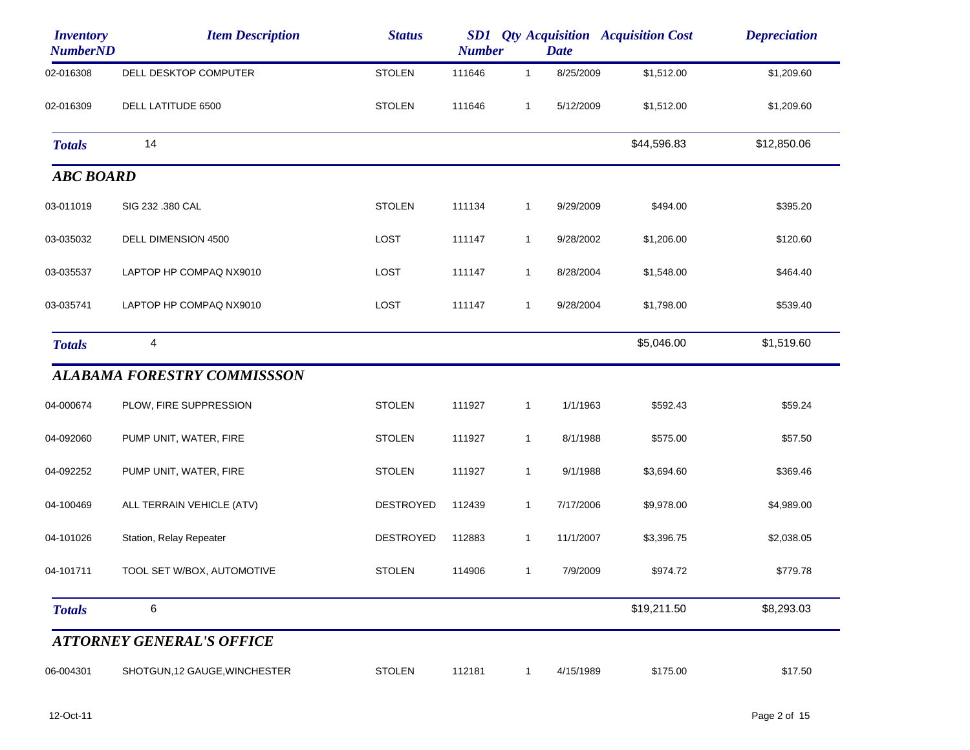| <b>Inventory</b><br><b>NumberND</b> | <b>Item Description</b>            | <b>Status</b>    | SD1<br><b>Number</b> |              | <b>Date</b> | <b>Qty Acquisition Acquisition Cost</b> | <b>Depreciation</b> |
|-------------------------------------|------------------------------------|------------------|----------------------|--------------|-------------|-----------------------------------------|---------------------|
| 02-016308                           | DELL DESKTOP COMPUTER              | <b>STOLEN</b>    | 111646               | $\mathbf{1}$ | 8/25/2009   | \$1,512.00                              | \$1,209.60          |
| 02-016309                           | DELL LATITUDE 6500                 | <b>STOLEN</b>    | 111646               | $\mathbf{1}$ | 5/12/2009   | \$1,512.00                              | \$1,209.60          |
| <b>Totals</b>                       | 14                                 |                  |                      |              |             | \$44,596.83                             | \$12,850.06         |
| <b>ABC BOARD</b>                    |                                    |                  |                      |              |             |                                         |                     |
| 03-011019                           | SIG 232 .380 CAL                   | <b>STOLEN</b>    | 111134               | $\mathbf{1}$ | 9/29/2009   | \$494.00                                | \$395.20            |
| 03-035032                           | DELL DIMENSION 4500                | <b>LOST</b>      | 111147               | $\mathbf{1}$ | 9/28/2002   | \$1,206.00                              | \$120.60            |
| 03-035537                           | LAPTOP HP COMPAQ NX9010            | LOST             | 111147               | $\mathbf{1}$ | 8/28/2004   | \$1,548.00                              | \$464.40            |
| 03-035741                           | LAPTOP HP COMPAQ NX9010            | LOST             | 111147               | $\mathbf{1}$ | 9/28/2004   | \$1,798.00                              | \$539.40            |
| <b>Totals</b>                       | 4                                  |                  |                      |              |             | \$5,046.00                              | \$1,519.60          |
|                                     | <b>ALABAMA FORESTRY COMMISSSON</b> |                  |                      |              |             |                                         |                     |
| 04-000674                           | PLOW, FIRE SUPPRESSION             | <b>STOLEN</b>    | 111927               | $\mathbf{1}$ | 1/1/1963    | \$592.43                                | \$59.24             |
| 04-092060                           | PUMP UNIT, WATER, FIRE             | <b>STOLEN</b>    | 111927               | $\mathbf{1}$ | 8/1/1988    | \$575.00                                | \$57.50             |
| 04-092252                           | PUMP UNIT, WATER, FIRE             | <b>STOLEN</b>    | 111927               | $\mathbf{1}$ | 9/1/1988    | \$3,694.60                              | \$369.46            |
| 04-100469                           | ALL TERRAIN VEHICLE (ATV)          | DESTROYED        | 112439               | 1            | 7/17/2006   | \$9,978.00                              | \$4,989.00          |
| 04-101026                           | Station, Relay Repeater            | <b>DESTROYED</b> | 112883               | $\mathbf{1}$ | 11/1/2007   | \$3,396.75                              | \$2,038.05          |
| 04-101711                           | TOOL SET W/BOX, AUTOMOTIVE         | <b>STOLEN</b>    | 114906               | $\mathbf{1}$ | 7/9/2009    | \$974.72                                | \$779.78            |
| <b>Totals</b>                       | 6                                  |                  |                      |              |             | \$19,211.50                             | \$8,293.03          |
|                                     | <b>ATTORNEY GENERAL'S OFFICE</b>   |                  |                      |              |             |                                         |                     |
| 06-004301                           | SHOTGUN, 12 GAUGE, WINCHESTER      | <b>STOLEN</b>    | 112181               | $\mathbf{1}$ | 4/15/1989   | \$175.00                                | \$17.50             |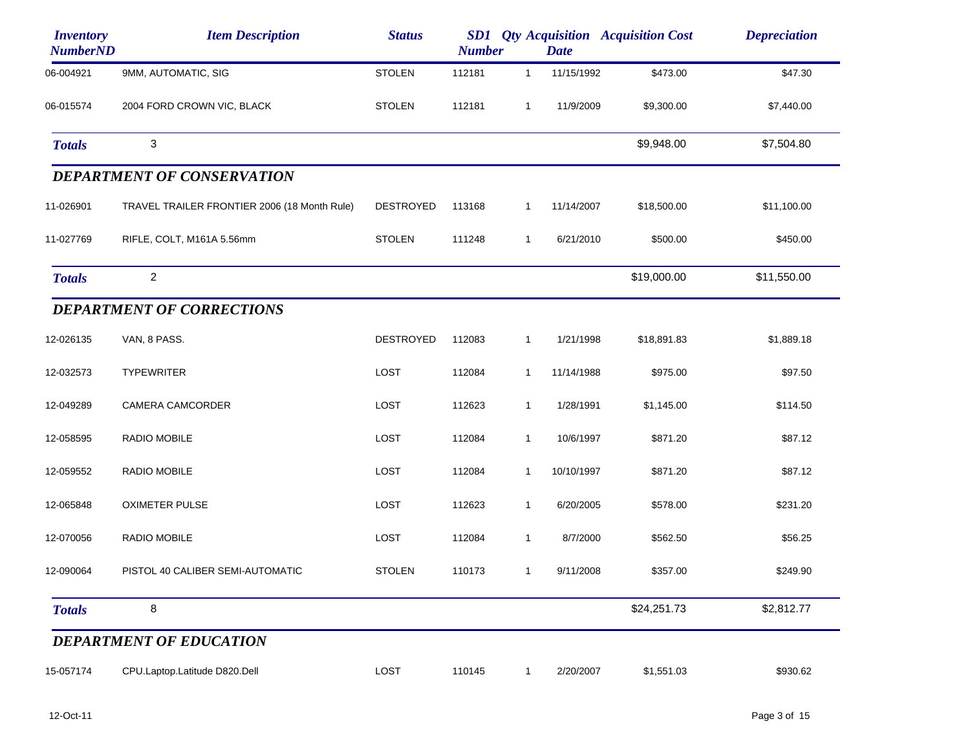| <b>Inventory</b><br><b>NumberND</b> | <b>Item Description</b>                      | <b>Status</b>    | <b>Number</b> |              | <b>Date</b> | <b>SD1</b> Qty Acquisition Acquisition Cost | <b>Depreciation</b> |
|-------------------------------------|----------------------------------------------|------------------|---------------|--------------|-------------|---------------------------------------------|---------------------|
| 06-004921                           | 9MM, AUTOMATIC, SIG                          | <b>STOLEN</b>    | 112181        | $\mathbf{1}$ | 11/15/1992  | \$473.00                                    | \$47.30             |
| 06-015574                           | 2004 FORD CROWN VIC, BLACK                   | <b>STOLEN</b>    | 112181        | $\mathbf{1}$ | 11/9/2009   | \$9,300.00                                  | \$7,440.00          |
| <b>Totals</b>                       | 3                                            |                  |               |              |             | \$9,948.00                                  | \$7,504.80          |
|                                     | <b>DEPARTMENT OF CONSERVATION</b>            |                  |               |              |             |                                             |                     |
| 11-026901                           | TRAVEL TRAILER FRONTIER 2006 (18 Month Rule) | <b>DESTROYED</b> | 113168        | $\mathbf{1}$ | 11/14/2007  | \$18,500.00                                 | \$11,100.00         |
| 11-027769                           | RIFLE, COLT, M161A 5.56mm                    | <b>STOLEN</b>    | 111248        | $\mathbf{1}$ | 6/21/2010   | \$500.00                                    | \$450.00            |
| <b>Totals</b>                       | $\overline{c}$                               |                  |               |              |             | \$19,000.00                                 | \$11,550.00         |
|                                     | <b>DEPARTMENT OF CORRECTIONS</b>             |                  |               |              |             |                                             |                     |
| 12-026135                           | VAN, 8 PASS.                                 | <b>DESTROYED</b> | 112083        | $\mathbf{1}$ | 1/21/1998   | \$18,891.83                                 | \$1,889.18          |
| 12-032573                           | <b>TYPEWRITER</b>                            | LOST             | 112084        | $\mathbf{1}$ | 11/14/1988  | \$975.00                                    | \$97.50             |
| 12-049289                           | CAMERA CAMCORDER                             | LOST             | 112623        | $\mathbf{1}$ | 1/28/1991   | \$1,145.00                                  | \$114.50            |
| 12-058595                           | <b>RADIO MOBILE</b>                          | LOST             | 112084        | $\mathbf{1}$ | 10/6/1997   | \$871.20                                    | \$87.12             |
| 12-059552                           | <b>RADIO MOBILE</b>                          | LOST             | 112084        | $\mathbf{1}$ | 10/10/1997  | \$871.20                                    | \$87.12             |
| 12-065848                           | <b>OXIMETER PULSE</b>                        | LOST             | 112623        | 1            | 6/20/2005   | \$578.00                                    | \$231.20            |
| 12-070056                           | <b>RADIO MOBILE</b>                          | LOST             | 112084        | $\mathbf{1}$ | 8/7/2000    | \$562.50                                    | \$56.25             |
| 12-090064                           | PISTOL 40 CALIBER SEMI-AUTOMATIC             | <b>STOLEN</b>    | 110173        | $\mathbf{1}$ | 9/11/2008   | \$357.00                                    | \$249.90            |
| <b>Totals</b>                       | 8                                            |                  |               |              |             | \$24,251.73                                 | \$2,812.77          |
|                                     | <b>DEPARTMENT OF EDUCATION</b>               |                  |               |              |             |                                             |                     |
| 15-057174                           | CPU.Laptop.Latitude D820.Dell                | LOST             | 110145        | $\mathbf{1}$ | 2/20/2007   | \$1,551.03                                  | \$930.62            |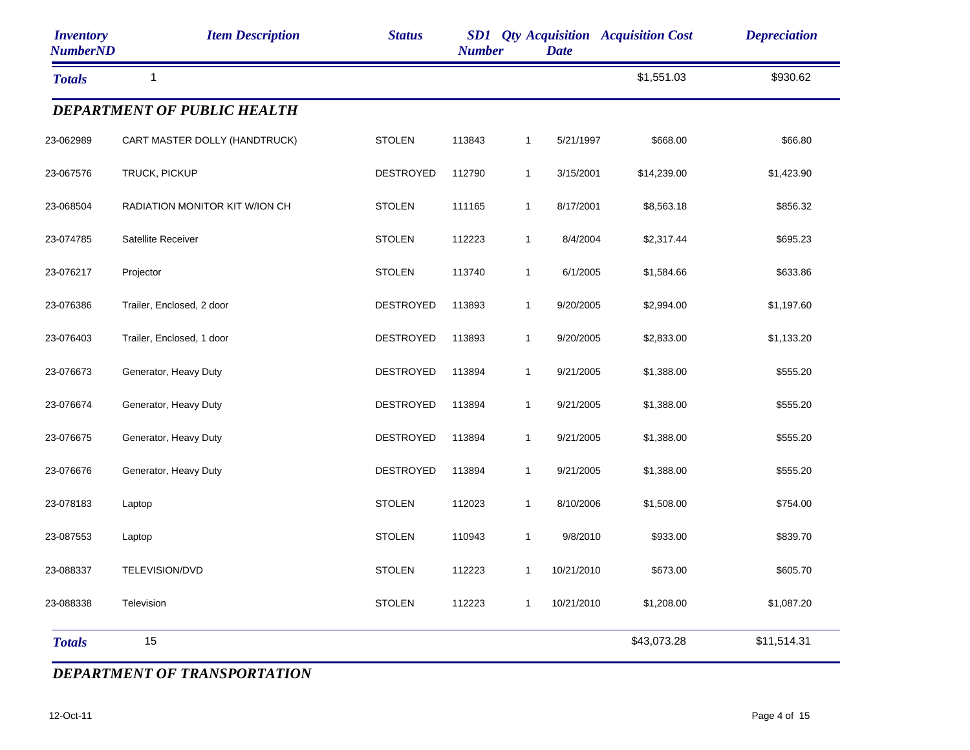| <b>Inventory</b><br><b>NumberND</b> | <b>Item Description</b>            | <b>Status</b>    | <b>Number</b> |              | <b>Date</b> | <b>SD1</b> Qty Acquisition Acquisition Cost | <b>Depreciation</b> |
|-------------------------------------|------------------------------------|------------------|---------------|--------------|-------------|---------------------------------------------|---------------------|
| <b>Totals</b>                       | $\mathbf{1}$                       |                  |               |              |             | \$1,551.03                                  | \$930.62            |
|                                     | <b>DEPARTMENT OF PUBLIC HEALTH</b> |                  |               |              |             |                                             |                     |
| 23-062989                           | CART MASTER DOLLY (HANDTRUCK)      | <b>STOLEN</b>    | 113843        | $\mathbf{1}$ | 5/21/1997   | \$668.00                                    | \$66.80             |
| 23-067576                           | TRUCK, PICKUP                      | <b>DESTROYED</b> | 112790        | $\mathbf{1}$ | 3/15/2001   | \$14,239.00                                 | \$1,423.90          |
| 23-068504                           | RADIATION MONITOR KIT W/ION CH     | <b>STOLEN</b>    | 111165        | $\mathbf{1}$ | 8/17/2001   | \$8,563.18                                  | \$856.32            |
| 23-074785                           | Satellite Receiver                 | <b>STOLEN</b>    | 112223        | $\mathbf{1}$ | 8/4/2004    | \$2,317.44                                  | \$695.23            |
| 23-076217                           | Projector                          | <b>STOLEN</b>    | 113740        | $\mathbf{1}$ | 6/1/2005    | \$1,584.66                                  | \$633.86            |
| 23-076386                           | Trailer, Enclosed, 2 door          | <b>DESTROYED</b> | 113893        | $\mathbf{1}$ | 9/20/2005   | \$2,994.00                                  | \$1,197.60          |
| 23-076403                           | Trailer, Enclosed, 1 door          | <b>DESTROYED</b> | 113893        | $\mathbf{1}$ | 9/20/2005   | \$2,833.00                                  | \$1,133.20          |
| 23-076673                           | Generator, Heavy Duty              | <b>DESTROYED</b> | 113894        | $\mathbf{1}$ | 9/21/2005   | \$1,388.00                                  | \$555.20            |
| 23-076674                           | Generator, Heavy Duty              | <b>DESTROYED</b> | 113894        | $\mathbf{1}$ | 9/21/2005   | \$1,388.00                                  | \$555.20            |
| 23-076675                           | Generator, Heavy Duty              | <b>DESTROYED</b> | 113894        | $\mathbf{1}$ | 9/21/2005   | \$1,388.00                                  | \$555.20            |
| 23-076676                           | Generator, Heavy Duty              | <b>DESTROYED</b> | 113894        | $\mathbf{1}$ | 9/21/2005   | \$1,388.00                                  | \$555.20            |
| 23-078183                           | Laptop                             | <b>STOLEN</b>    | 112023        | $\mathbf{1}$ | 8/10/2006   | \$1,508.00                                  | \$754.00            |
| 23-087553                           | Laptop                             | <b>STOLEN</b>    | 110943        | $\mathbf{1}$ | 9/8/2010    | \$933.00                                    | \$839.70            |
| 23-088337                           | TELEVISION/DVD                     | <b>STOLEN</b>    | 112223        | $\mathbf{1}$ | 10/21/2010  | \$673.00                                    | \$605.70            |
| 23-088338                           | Television                         | <b>STOLEN</b>    | 112223        | $\mathbf{1}$ | 10/21/2010  | \$1,208.00                                  | \$1,087.20          |
| <b>Totals</b>                       | 15                                 |                  |               |              |             | \$43,073.28                                 | \$11,514.31         |

## *DEPARTMENT OF TRANSPORTATION*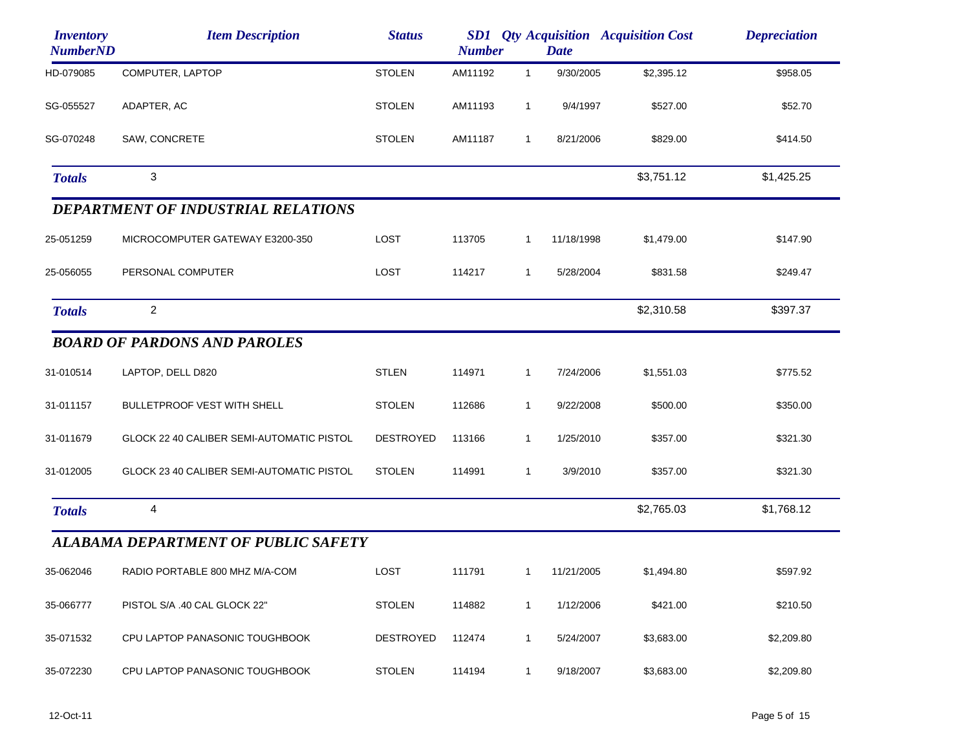| <i><b>Inventory</b></i><br><b>NumberND</b> | <b>Item Description</b>                    | <b>Status</b>    | <b>Number</b> |              | <b>Date</b> | <b>SD1</b> Qty Acquisition Acquisition Cost | <b>Depreciation</b> |
|--------------------------------------------|--------------------------------------------|------------------|---------------|--------------|-------------|---------------------------------------------|---------------------|
| HD-079085                                  | COMPUTER, LAPTOP                           | <b>STOLEN</b>    | AM11192       | $\mathbf 1$  | 9/30/2005   | \$2,395.12                                  | \$958.05            |
| SG-055527                                  | ADAPTER, AC                                | <b>STOLEN</b>    | AM11193       | $\mathbf{1}$ | 9/4/1997    | \$527.00                                    | \$52.70             |
| SG-070248                                  | SAW, CONCRETE                              | <b>STOLEN</b>    | AM11187       | $\mathbf{1}$ | 8/21/2006   | \$829.00                                    | \$414.50            |
| <b>Totals</b>                              | 3                                          |                  |               |              |             | \$3,751.12                                  | \$1,425.25          |
|                                            | <b>DEPARTMENT OF INDUSTRIAL RELATIONS</b>  |                  |               |              |             |                                             |                     |
| 25-051259                                  | MICROCOMPUTER GATEWAY E3200-350            | LOST             | 113705        | 1            | 11/18/1998  | \$1,479.00                                  | \$147.90            |
| 25-056055                                  | PERSONAL COMPUTER                          | LOST             | 114217        | 1            | 5/28/2004   | \$831.58                                    | \$249.47            |
| <b>Totals</b>                              | $\overline{c}$                             |                  |               |              |             | \$2,310.58                                  | \$397.37            |
|                                            | <b>BOARD OF PARDONS AND PAROLES</b>        |                  |               |              |             |                                             |                     |
| 31-010514                                  | LAPTOP, DELL D820                          | <b>STLEN</b>     | 114971        | 1            | 7/24/2006   | \$1,551.03                                  | \$775.52            |
| 31-011157                                  | <b>BULLETPROOF VEST WITH SHELL</b>         | <b>STOLEN</b>    | 112686        | 1            | 9/22/2008   | \$500.00                                    | \$350.00            |
| 31-011679                                  | GLOCK 22 40 CALIBER SEMI-AUTOMATIC PISTOL  | <b>DESTROYED</b> | 113166        | 1            | 1/25/2010   | \$357.00                                    | \$321.30            |
| 31-012005                                  | GLOCK 23 40 CALIBER SEMI-AUTOMATIC PISTOL  | <b>STOLEN</b>    | 114991        | $\mathbf{1}$ | 3/9/2010    | \$357.00                                    | \$321.30            |
| <b>Totals</b>                              | 4                                          |                  |               |              |             | \$2,765.03                                  | \$1,768.12          |
|                                            | <b>ALABAMA DEPARTMENT OF PUBLIC SAFETY</b> |                  |               |              |             |                                             |                     |
| 35-062046                                  | RADIO PORTABLE 800 MHZ M/A-COM             | LOST             | 111791        | $\mathbf{1}$ | 11/21/2005  | \$1,494.80                                  | \$597.92            |
| 35-066777                                  | PISTOL S/A .40 CAL GLOCK 22"               | <b>STOLEN</b>    | 114882        | 1            | 1/12/2006   | \$421.00                                    | \$210.50            |
| 35-071532                                  | CPU LAPTOP PANASONIC TOUGHBOOK             | <b>DESTROYED</b> | 112474        | 1            | 5/24/2007   | \$3,683.00                                  | \$2,209.80          |
| 35-072230                                  | CPU LAPTOP PANASONIC TOUGHBOOK             | <b>STOLEN</b>    | 114194        | $\mathbf{1}$ | 9/18/2007   | \$3,683.00                                  | \$2,209.80          |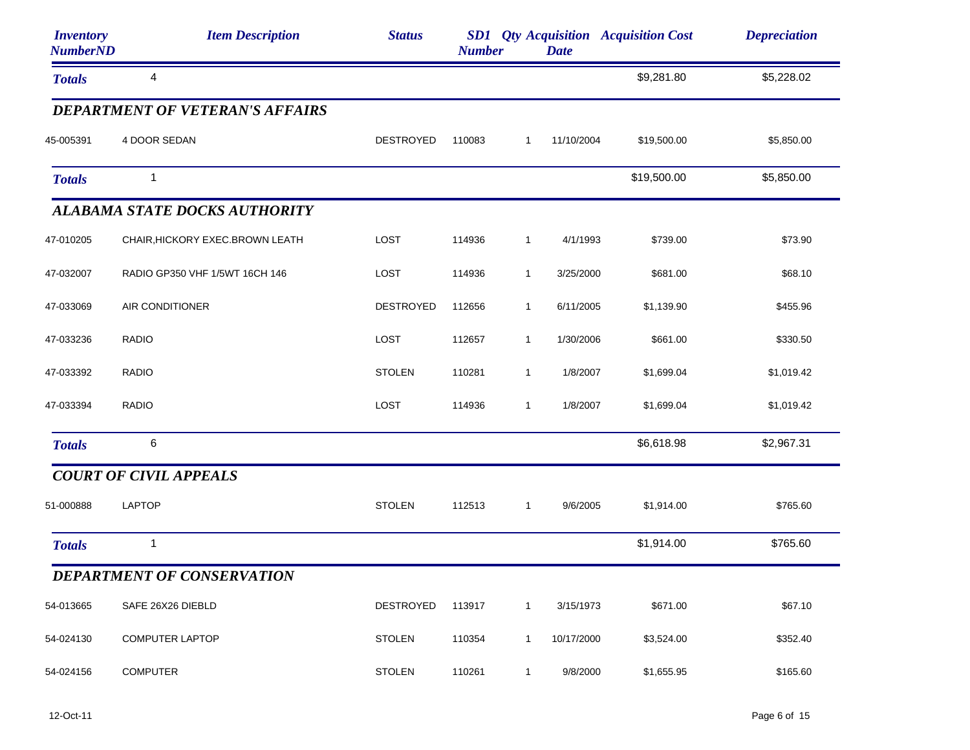| <b>Inventory</b><br><b>NumberND</b> | <b>Item Description</b>                | <b>Status</b>    | <b>Number</b> |              | <b>Date</b> | <b>SD1</b> Qty Acquisition Acquisition Cost | <b>Depreciation</b> |
|-------------------------------------|----------------------------------------|------------------|---------------|--------------|-------------|---------------------------------------------|---------------------|
| <b>Totals</b>                       | 4                                      |                  |               |              |             | \$9,281.80                                  | \$5,228.02          |
|                                     | <b>DEPARTMENT OF VETERAN'S AFFAIRS</b> |                  |               |              |             |                                             |                     |
| 45-005391                           | 4 DOOR SEDAN                           | <b>DESTROYED</b> | 110083        | $\mathbf{1}$ | 11/10/2004  | \$19,500.00                                 | \$5,850.00          |
| <b>Totals</b>                       | $\mathbf{1}$                           |                  |               |              |             | \$19,500.00                                 | \$5,850.00          |
|                                     | <b>ALABAMA STATE DOCKS AUTHORITY</b>   |                  |               |              |             |                                             |                     |
| 47-010205                           | CHAIR, HICKORY EXEC. BROWN LEATH       | LOST             | 114936        | $\mathbf 1$  | 4/1/1993    | \$739.00                                    | \$73.90             |
| 47-032007                           | RADIO GP350 VHF 1/5WT 16CH 146         | LOST             | 114936        | $\mathbf{1}$ | 3/25/2000   | \$681.00                                    | \$68.10             |
| 47-033069                           | AIR CONDITIONER                        | <b>DESTROYED</b> | 112656        | 1            | 6/11/2005   | \$1,139.90                                  | \$455.96            |
| 47-033236                           | <b>RADIO</b>                           | LOST             | 112657        | $\mathbf{1}$ | 1/30/2006   | \$661.00                                    | \$330.50            |
| 47-033392                           | <b>RADIO</b>                           | <b>STOLEN</b>    | 110281        | $\mathbf 1$  | 1/8/2007    | \$1,699.04                                  | \$1,019.42          |
| 47-033394                           | <b>RADIO</b>                           | LOST             | 114936        | $\mathbf{1}$ | 1/8/2007    | \$1,699.04                                  | \$1,019.42          |
| <b>Totals</b>                       | 6                                      |                  |               |              |             | \$6,618.98                                  | \$2,967.31          |
|                                     | <b>COURT OF CIVIL APPEALS</b>          |                  |               |              |             |                                             |                     |
| 51-000888                           | <b>LAPTOP</b>                          | <b>STOLEN</b>    | 112513        | $\mathbf{1}$ | 9/6/2005    | \$1,914.00                                  | \$765.60            |
| <b>Totals</b>                       | $\mathbf{1}$                           |                  |               |              |             | \$1,914.00                                  | \$765.60            |
|                                     | DEPARTMENT OF CONSERVATION             |                  |               |              |             |                                             |                     |
| 54-013665                           | SAFE 26X26 DIEBLD                      | <b>DESTROYED</b> | 113917        | $\mathbf{1}$ | 3/15/1973   | \$671.00                                    | \$67.10             |
| 54-024130                           | <b>COMPUTER LAPTOP</b>                 | <b>STOLEN</b>    | 110354        | 1            | 10/17/2000  | \$3,524.00                                  | \$352.40            |
| 54-024156                           | <b>COMPUTER</b>                        | <b>STOLEN</b>    | 110261        | $\mathbf{1}$ | 9/8/2000    | \$1,655.95                                  | \$165.60            |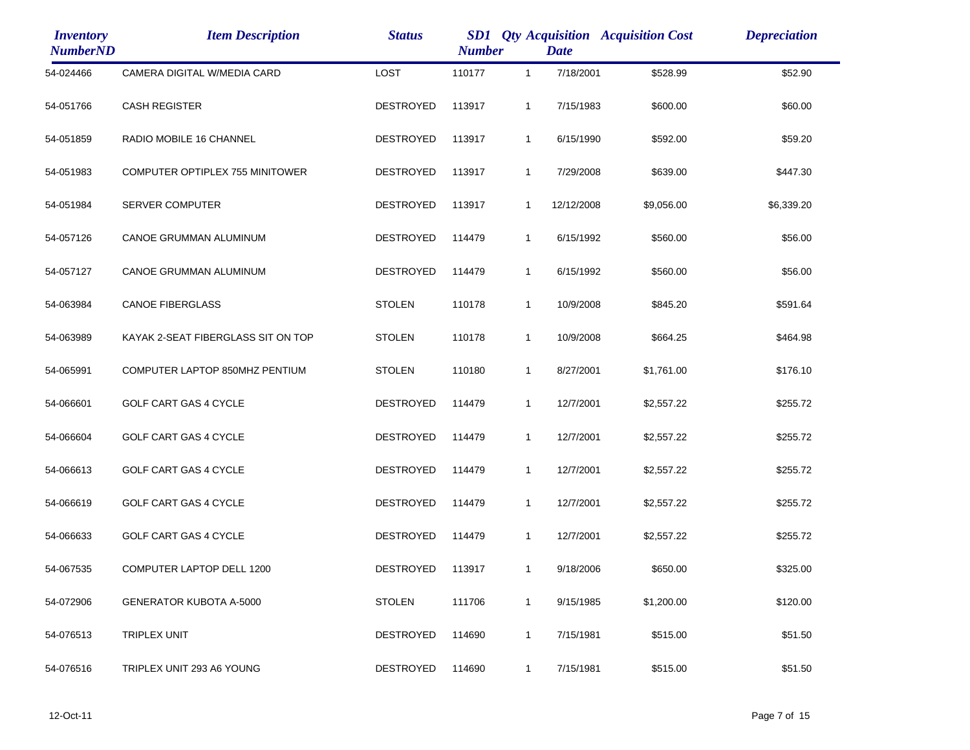| <i><b>Inventory</b></i><br><b>NumberND</b> | <b>Item Description</b>            | <b>Status</b>    | SD1<br><b>Qty Acquisition Acquisition Cost</b><br><b>Number</b><br><b>Date</b> |              |            |            | <b>Depreciation</b> |
|--------------------------------------------|------------------------------------|------------------|--------------------------------------------------------------------------------|--------------|------------|------------|---------------------|
| 54-024466                                  | CAMERA DIGITAL W/MEDIA CARD        | <b>LOST</b>      | 110177                                                                         | $\mathbf{1}$ | 7/18/2001  | \$528.99   | \$52.90             |
| 54-051766                                  | <b>CASH REGISTER</b>               | DESTROYED        | 113917                                                                         | 1            | 7/15/1983  | \$600.00   | \$60.00             |
| 54-051859                                  | RADIO MOBILE 16 CHANNEL            | <b>DESTROYED</b> | 113917                                                                         | 1            | 6/15/1990  | \$592.00   | \$59.20             |
| 54-051983                                  | COMPUTER OPTIPLEX 755 MINITOWER    | <b>DESTROYED</b> | 113917                                                                         | 1            | 7/29/2008  | \$639.00   | \$447.30            |
| 54-051984                                  | <b>SERVER COMPUTER</b>             | <b>DESTROYED</b> | 113917                                                                         | 1            | 12/12/2008 | \$9,056.00 | \$6,339.20          |
| 54-057126                                  | CANOE GRUMMAN ALUMINUM             | <b>DESTROYED</b> | 114479                                                                         | 1            | 6/15/1992  | \$560.00   | \$56.00             |
| 54-057127                                  | CANOE GRUMMAN ALUMINUM             | <b>DESTROYED</b> | 114479                                                                         | $\mathbf{1}$ | 6/15/1992  | \$560.00   | \$56.00             |
| 54-063984                                  | <b>CANOE FIBERGLASS</b>            | <b>STOLEN</b>    | 110178                                                                         | 1            | 10/9/2008  | \$845.20   | \$591.64            |
| 54-063989                                  | KAYAK 2-SEAT FIBERGLASS SIT ON TOP | <b>STOLEN</b>    | 110178                                                                         | 1            | 10/9/2008  | \$664.25   | \$464.98            |
| 54-065991                                  | COMPUTER LAPTOP 850MHZ PENTIUM     | <b>STOLEN</b>    | 110180                                                                         | 1            | 8/27/2001  | \$1,761.00 | \$176.10            |
| 54-066601                                  | GOLF CART GAS 4 CYCLE              | <b>DESTROYED</b> | 114479                                                                         | $\mathbf{1}$ | 12/7/2001  | \$2,557.22 | \$255.72            |
| 54-066604                                  | <b>GOLF CART GAS 4 CYCLE</b>       | <b>DESTROYED</b> | 114479                                                                         | 1            | 12/7/2001  | \$2,557.22 | \$255.72            |
| 54-066613                                  | GOLF CART GAS 4 CYCLE              | <b>DESTROYED</b> | 114479                                                                         | 1            | 12/7/2001  | \$2,557.22 | \$255.72            |
| 54-066619                                  | GOLF CART GAS 4 CYCLE              | <b>DESTROYED</b> | 114479                                                                         | 1            | 12/7/2001  | \$2,557.22 | \$255.72            |
| 54-066633                                  | <b>GOLF CART GAS 4 CYCLE</b>       | <b>DESTROYED</b> | 114479                                                                         | 1            | 12/7/2001  | \$2,557.22 | \$255.72            |
| 54-067535                                  | COMPUTER LAPTOP DELL 1200          | <b>DESTROYED</b> | 113917                                                                         | 1            | 9/18/2006  | \$650.00   | \$325.00            |
| 54-072906                                  | <b>GENERATOR KUBOTA A-5000</b>     | <b>STOLEN</b>    | 111706                                                                         | 1            | 9/15/1985  | \$1,200.00 | \$120.00            |
| 54-076513                                  | <b>TRIPLEX UNIT</b>                | <b>DESTROYED</b> | 114690                                                                         | 1            | 7/15/1981  | \$515.00   | \$51.50             |
| 54-076516                                  | TRIPLEX UNIT 293 A6 YOUNG          | <b>DESTROYED</b> | 114690                                                                         | 1            | 7/15/1981  | \$515.00   | \$51.50             |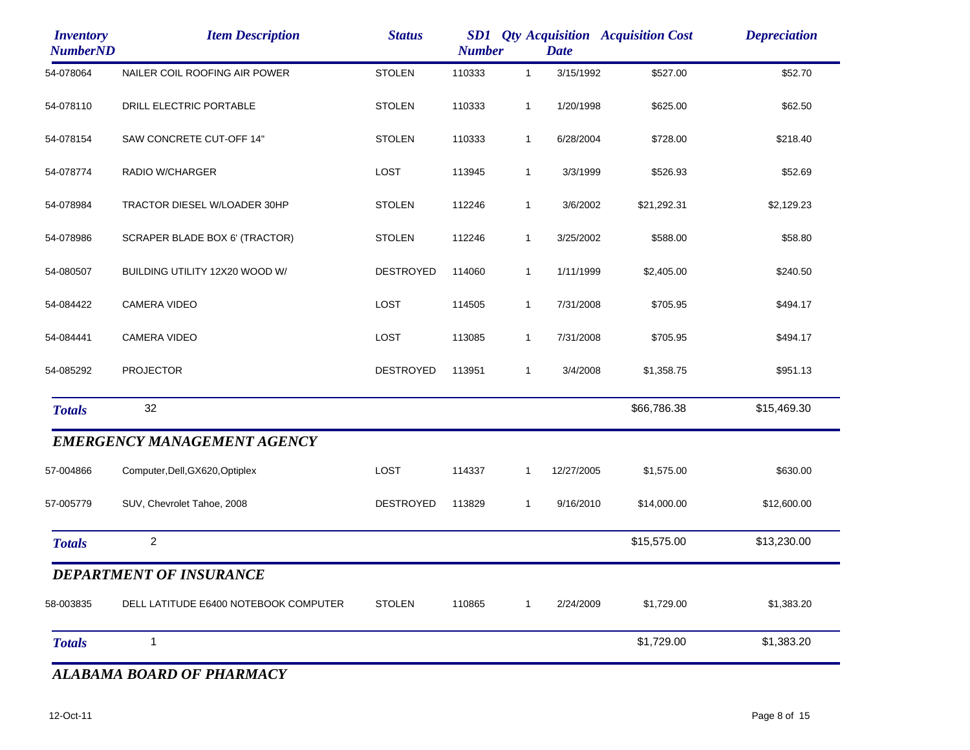| <b>Inventory</b><br><b>NumberND</b> | <b>Item Description</b>               | <b>Status</b>    | SD1<br><b>Number</b> |              | <b>Date</b> | <b>Qty Acquisition Acquisition Cost</b> | <b>Depreciation</b> |
|-------------------------------------|---------------------------------------|------------------|----------------------|--------------|-------------|-----------------------------------------|---------------------|
| 54-078064                           | NAILER COIL ROOFING AIR POWER         | <b>STOLEN</b>    | 110333               | $\mathbf{1}$ | 3/15/1992   | \$527.00                                | \$52.70             |
| 54-078110                           | DRILL ELECTRIC PORTABLE               | <b>STOLEN</b>    | 110333               | $\mathbf{1}$ | 1/20/1998   | \$625.00                                | \$62.50             |
| 54-078154                           | SAW CONCRETE CUT-OFF 14"              | <b>STOLEN</b>    | 110333               | $\mathbf{1}$ | 6/28/2004   | \$728.00                                | \$218.40            |
| 54-078774                           | RADIO W/CHARGER                       | LOST             | 113945               | $\mathbf{1}$ | 3/3/1999    | \$526.93                                | \$52.69             |
| 54-078984                           | TRACTOR DIESEL W/LOADER 30HP          | <b>STOLEN</b>    | 112246               | $\mathbf{1}$ | 3/6/2002    | \$21,292.31                             | \$2,129.23          |
| 54-078986                           | SCRAPER BLADE BOX 6' (TRACTOR)        | <b>STOLEN</b>    | 112246               | $\mathbf{1}$ | 3/25/2002   | \$588.00                                | \$58.80             |
| 54-080507                           | BUILDING UTILITY 12X20 WOOD W/        | <b>DESTROYED</b> | 114060               | $\mathbf{1}$ | 1/11/1999   | \$2,405.00                              | \$240.50            |
| 54-084422                           | <b>CAMERA VIDEO</b>                   | LOST             | 114505               | $\mathbf{1}$ | 7/31/2008   | \$705.95                                | \$494.17            |
| 54-084441                           | <b>CAMERA VIDEO</b>                   | LOST             | 113085               | $\mathbf{1}$ | 7/31/2008   | \$705.95                                | \$494.17            |
| 54-085292                           | <b>PROJECTOR</b>                      | DESTROYED        | 113951               | $\mathbf{1}$ | 3/4/2008    | \$1,358.75                              | \$951.13            |
| <b>Totals</b>                       | 32                                    |                  |                      |              |             | \$66,786.38                             | \$15,469.30         |
|                                     | <b>EMERGENCY MANAGEMENT AGENCY</b>    |                  |                      |              |             |                                         |                     |
| 57-004866                           | Computer, Dell, GX620, Optiplex       | LOST             | 114337               | $\mathbf{1}$ | 12/27/2005  | \$1,575.00                              | \$630.00            |
| 57-005779                           | SUV, Chevrolet Tahoe, 2008            | DESTROYED        | 113829               | $\mathbf{1}$ | 9/16/2010   | \$14,000.00                             | \$12,600.00         |
| <b>Totals</b>                       | $\overline{a}$                        |                  |                      |              |             | \$15,575.00                             | \$13,230.00         |
|                                     | DEPARTMENT OF INSURANCE               |                  |                      |              |             |                                         |                     |
| 58-003835                           | DELL LATITUDE E6400 NOTEBOOK COMPUTER | <b>STOLEN</b>    | 110865               | 1            | 2/24/2009   | \$1,729.00                              | \$1,383.20          |
| <b>Totals</b>                       | $\mathbf{1}$                          |                  |                      |              |             | \$1,729.00                              | \$1,383.20          |
|                                     |                                       |                  |                      |              |             |                                         |                     |

*ALABAMA BOARD OF PHARMACY*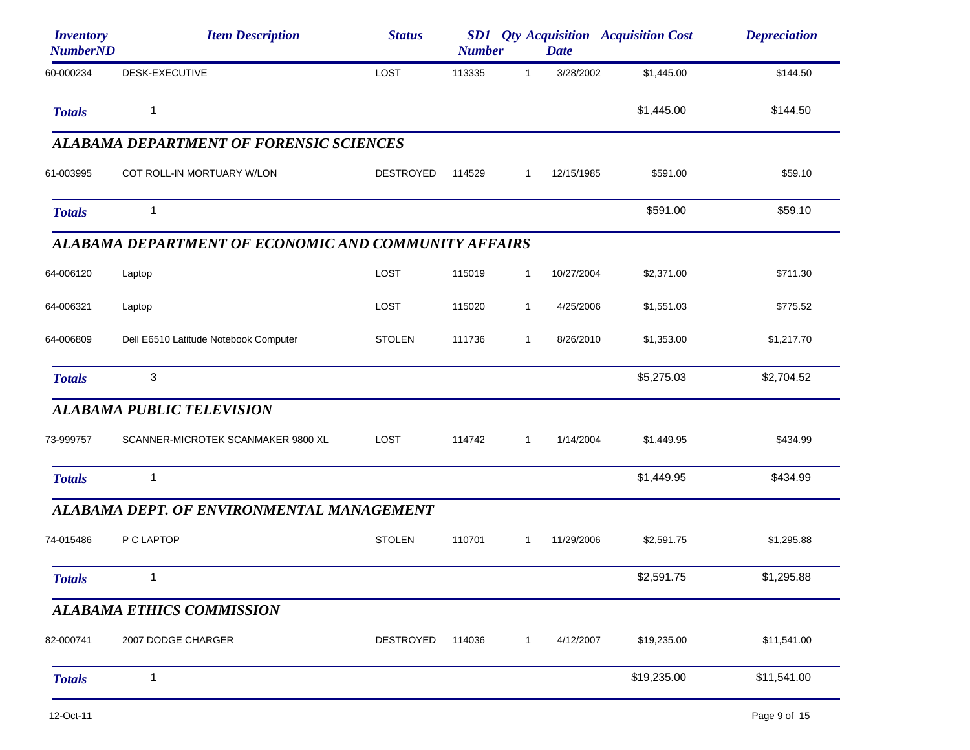| <i><b>Inventory</b></i><br><b>NumberND</b> | <b>Item Description</b>                              | <b>Status</b>    | <b>Number</b> |              | <b>Date</b> | <b>SD1</b> <i>Qty Acquisition Acquisition Cost</i> | <b>Depreciation</b> |
|--------------------------------------------|------------------------------------------------------|------------------|---------------|--------------|-------------|----------------------------------------------------|---------------------|
| 60-000234                                  | DESK-EXECUTIVE                                       | LOST             | 113335        | $\mathbf{1}$ | 3/28/2002   | \$1,445.00                                         | \$144.50            |
| <b>Totals</b>                              | 1                                                    |                  |               |              |             | \$1,445.00                                         | \$144.50            |
|                                            | <b>ALABAMA DEPARTMENT OF FORENSIC SCIENCES</b>       |                  |               |              |             |                                                    |                     |
| 61-003995                                  | COT ROLL-IN MORTUARY W/LON                           | <b>DESTROYED</b> | 114529        | 1            | 12/15/1985  | \$591.00                                           | \$59.10             |
| <b>Totals</b>                              | 1                                                    |                  |               |              |             | \$591.00                                           | \$59.10             |
|                                            | ALABAMA DEPARTMENT OF ECONOMIC AND COMMUNITY AFFAIRS |                  |               |              |             |                                                    |                     |
| 64-006120                                  | Laptop                                               | LOST             | 115019        | $\mathbf{1}$ | 10/27/2004  | \$2,371.00                                         | \$711.30            |
| 64-006321                                  | Laptop                                               | LOST             | 115020        | $\mathbf{1}$ | 4/25/2006   | \$1,551.03                                         | \$775.52            |
| 64-006809                                  | Dell E6510 Latitude Notebook Computer                | <b>STOLEN</b>    | 111736        | $\mathbf{1}$ | 8/26/2010   | \$1,353.00                                         | \$1,217.70          |
| <b>Totals</b>                              | 3                                                    |                  |               |              |             | \$5,275.03                                         | \$2,704.52          |
|                                            | <b>ALABAMA PUBLIC TELEVISION</b>                     |                  |               |              |             |                                                    |                     |
| 73-999757                                  | SCANNER-MICROTEK SCANMAKER 9800 XL                   | LOST             | 114742        | $\mathbf{1}$ | 1/14/2004   | \$1,449.95                                         | \$434.99            |
| <b>Totals</b>                              | 1                                                    |                  |               |              |             | \$1,449.95                                         | \$434.99            |
|                                            | ALABAMA DEPT. OF ENVIRONMENTAL MANAGEMENT            |                  |               |              |             |                                                    |                     |
| 74-015486                                  | P C LAPTOP                                           | <b>STOLEN</b>    | 110701        | 1            | 11/29/2006  | \$2,591.75                                         | \$1,295.88          |
| <b>Totals</b>                              |                                                      |                  |               |              |             | \$2,591.75                                         | \$1,295.88          |
|                                            | <b>ALABAMA ETHICS COMMISSION</b>                     |                  |               |              |             |                                                    |                     |
| 82-000741                                  | 2007 DODGE CHARGER                                   | <b>DESTROYED</b> | 114036        | $\mathbf{1}$ | 4/12/2007   | \$19,235.00                                        | \$11,541.00         |
| <b>Totals</b>                              | 1                                                    |                  |               |              |             | \$19,235.00                                        | \$11,541.00         |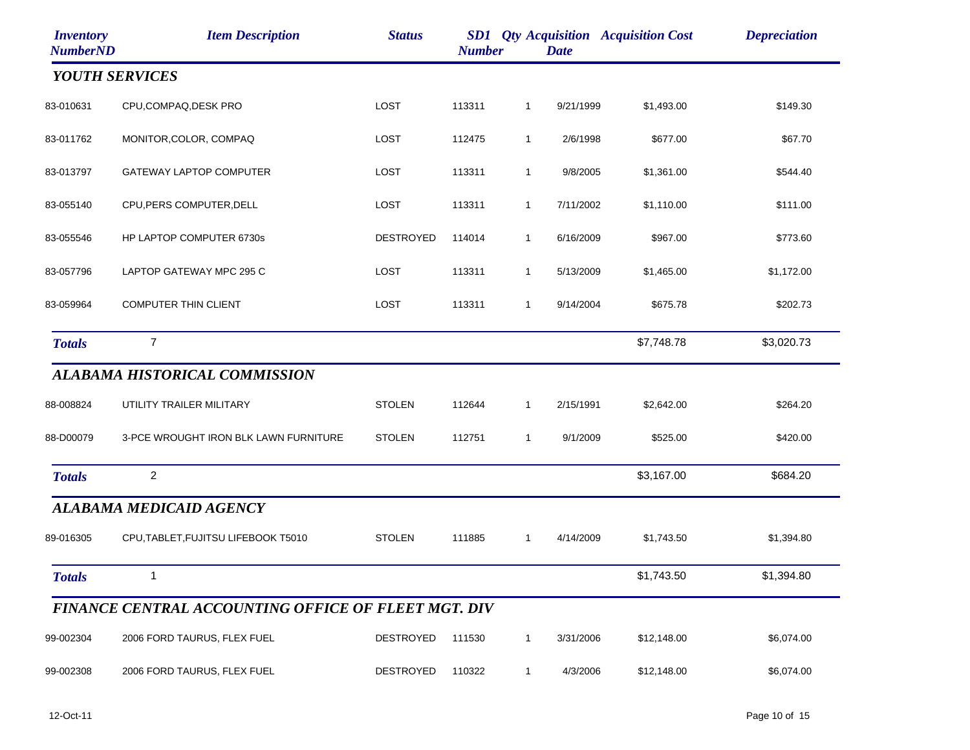| <b>Inventory</b><br><b>NumberND</b> | <b>Item Description</b>                             | <b>Status</b>    | <b>Number</b> |              | <b>Date</b> | <b>SD1</b> <i>Qty Acquisition Acquisition Cost</i> | <b>Depreciation</b> |
|-------------------------------------|-----------------------------------------------------|------------------|---------------|--------------|-------------|----------------------------------------------------|---------------------|
| <b>YOUTH SERVICES</b>               |                                                     |                  |               |              |             |                                                    |                     |
| 83-010631                           | CPU,COMPAQ,DESK PRO                                 | LOST             | 113311        | $\mathbf{1}$ | 9/21/1999   | \$1,493.00                                         | \$149.30            |
| 83-011762                           | MONITOR, COLOR, COMPAQ                              | LOST             | 112475        | $\mathbf{1}$ | 2/6/1998    | \$677.00                                           | \$67.70             |
| 83-013797                           | <b>GATEWAY LAPTOP COMPUTER</b>                      | LOST             | 113311        | $\mathbf{1}$ | 9/8/2005    | \$1,361.00                                         | \$544.40            |
| 83-055140                           | CPU, PERS COMPUTER, DELL                            | LOST             | 113311        | $\mathbf{1}$ | 7/11/2002   | \$1,110.00                                         | \$111.00            |
| 83-055546                           | HP LAPTOP COMPUTER 6730s                            | <b>DESTROYED</b> | 114014        | $\mathbf{1}$ | 6/16/2009   | \$967.00                                           | \$773.60            |
| 83-057796                           | LAPTOP GATEWAY MPC 295 C                            | LOST             | 113311        | $\mathbf{1}$ | 5/13/2009   | \$1,465.00                                         | \$1,172.00          |
| 83-059964                           | <b>COMPUTER THIN CLIENT</b>                         | LOST             | 113311        | $\mathbf{1}$ | 9/14/2004   | \$675.78                                           | \$202.73            |
| <b>Totals</b>                       | 7                                                   |                  |               |              |             | \$7,748.78                                         | \$3,020.73          |
|                                     | <b>ALABAMA HISTORICAL COMMISSION</b>                |                  |               |              |             |                                                    |                     |
| 88-008824                           | UTILITY TRAILER MILITARY                            | <b>STOLEN</b>    | 112644        | $\mathbf{1}$ | 2/15/1991   | \$2,642.00                                         | \$264.20            |
| 88-D00079                           | 3-PCE WROUGHT IRON BLK LAWN FURNITURE               | <b>STOLEN</b>    | 112751        | $\mathbf{1}$ | 9/1/2009    | \$525.00                                           | \$420.00            |
| <b>Totals</b>                       | 2                                                   |                  |               |              |             | \$3,167.00                                         | \$684.20            |
|                                     | <b>ALABAMA MEDICAID AGENCY</b>                      |                  |               |              |             |                                                    |                     |
| 89-016305                           | CPU, TABLET, FUJITSU LIFEBOOK T5010                 | <b>STOLEN</b>    | 111885        | 1            | 4/14/2009   | \$1,743.50                                         | \$1,394.80          |
| <b>Totals</b>                       | $\mathbf{1}$                                        |                  |               |              |             | \$1,743.50                                         | \$1,394.80          |
|                                     | FINANCE CENTRAL ACCOUNTING OFFICE OF FLEET MGT. DIV |                  |               |              |             |                                                    |                     |
| 99-002304                           | 2006 FORD TAURUS, FLEX FUEL                         | <b>DESTROYED</b> | 111530        | $\mathbf{1}$ | 3/31/2006   | \$12,148.00                                        | \$6,074.00          |
| 99-002308                           | 2006 FORD TAURUS, FLEX FUEL                         | <b>DESTROYED</b> | 110322        | $\mathbf{1}$ | 4/3/2006    | \$12,148.00                                        | \$6,074.00          |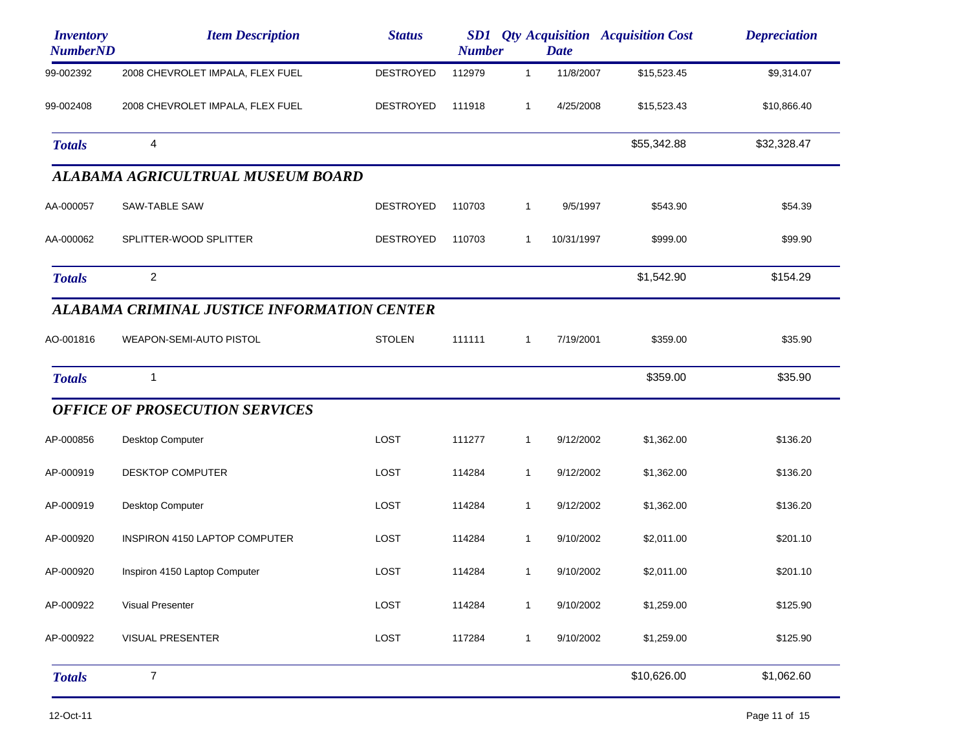| <b>Inventory</b><br><b>NumberND</b> | <b>Item Description</b>                     | <b>Status</b>    | <b>Number</b> |              | <b>Date</b> | <b>SD1</b> Qty Acquisition Acquisition Cost | <b>Depreciation</b> |
|-------------------------------------|---------------------------------------------|------------------|---------------|--------------|-------------|---------------------------------------------|---------------------|
| 99-002392                           | 2008 CHEVROLET IMPALA, FLEX FUEL            | <b>DESTROYED</b> | 112979        | $\mathbf{1}$ | 11/8/2007   | \$15,523.45                                 | \$9,314.07          |
| 99-002408                           | 2008 CHEVROLET IMPALA, FLEX FUEL            | <b>DESTROYED</b> | 111918        | $\mathbf{1}$ | 4/25/2008   | \$15,523.43                                 | \$10,866.40         |
| <b>Totals</b>                       | 4                                           |                  |               |              |             | \$55,342.88                                 | \$32,328.47         |
|                                     | ALABAMA AGRICULTRUAL MUSEUM BOARD           |                  |               |              |             |                                             |                     |
| AA-000057                           | SAW-TABLE SAW                               | <b>DESTROYED</b> | 110703        | $\mathbf{1}$ | 9/5/1997    | \$543.90                                    | \$54.39             |
| AA-000062                           | SPLITTER-WOOD SPLITTER                      | <b>DESTROYED</b> | 110703        | $\mathbf{1}$ | 10/31/1997  | \$999.00                                    | \$99.90             |
| <b>Totals</b>                       | $\overline{c}$                              |                  |               |              |             | \$1,542.90                                  | \$154.29            |
|                                     | ALABAMA CRIMINAL JUSTICE INFORMATION CENTER |                  |               |              |             |                                             |                     |
| AO-001816                           | WEAPON-SEMI-AUTO PISTOL                     | <b>STOLEN</b>    | 111111        | $\mathbf{1}$ | 7/19/2001   | \$359.00                                    | \$35.90             |
| <b>Totals</b>                       | $\mathbf{1}$                                |                  |               |              |             | \$359.00                                    | \$35.90             |
|                                     | <b>OFFICE OF PROSECUTION SERVICES</b>       |                  |               |              |             |                                             |                     |
| AP-000856                           | Desktop Computer                            | LOST             | 111277        | $\mathbf{1}$ | 9/12/2002   | \$1,362.00                                  | \$136.20            |
| AP-000919                           | <b>DESKTOP COMPUTER</b>                     | LOST             | 114284        | $\mathbf{1}$ | 9/12/2002   | \$1,362.00                                  | \$136.20            |
| AP-000919                           | Desktop Computer                            | <b>LOST</b>      | 114284        | 1            | 9/12/2002   | \$1,362.00                                  | \$136.20            |
| AP-000920                           | <b>INSPIRON 4150 LAPTOP COMPUTER</b>        | LOST             | 114284        | $\mathbf{1}$ | 9/10/2002   | \$2,011.00                                  | \$201.10            |
| AP-000920                           | Inspiron 4150 Laptop Computer               | LOST             | 114284        | $\mathbf{1}$ | 9/10/2002   | \$2,011.00                                  | \$201.10            |
| AP-000922                           | <b>Visual Presenter</b>                     | LOST             | 114284        | $\mathbf 1$  | 9/10/2002   | \$1,259.00                                  | \$125.90            |
| AP-000922                           | <b>VISUAL PRESENTER</b>                     | LOST             | 117284        | $\mathbf{1}$ | 9/10/2002   | \$1,259.00                                  | \$125.90            |
| <b>Totals</b>                       | $\overline{7}$                              |                  |               |              |             | \$10,626.00                                 | \$1,062.60          |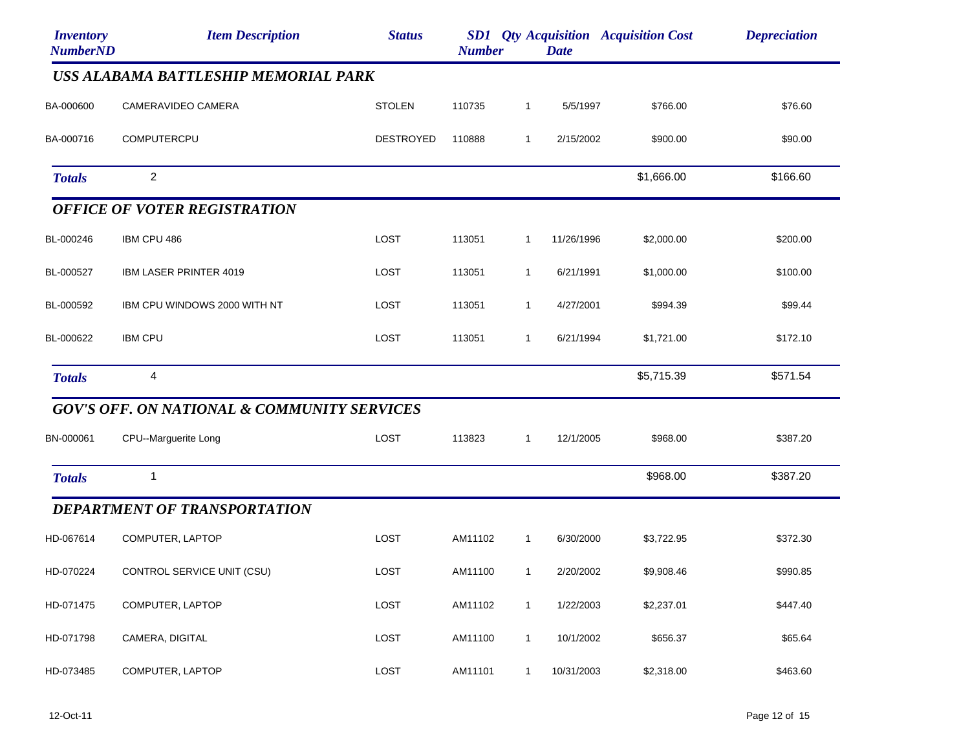| <b>Inventory</b><br><b>NumberND</b> | <b>Item Description</b>                                | <b>Status</b>    | <b>Number</b> |              | <b>Date</b> | <b>SD1</b> Qty Acquisition Acquisition Cost | <b>Depreciation</b> |
|-------------------------------------|--------------------------------------------------------|------------------|---------------|--------------|-------------|---------------------------------------------|---------------------|
|                                     | USS ALABAMA BATTLESHIP MEMORIAL PARK                   |                  |               |              |             |                                             |                     |
| BA-000600                           | CAMERAVIDEO CAMERA                                     | <b>STOLEN</b>    | 110735        | $\mathbf{1}$ | 5/5/1997    | \$766.00                                    | \$76.60             |
| BA-000716                           | COMPUTERCPU                                            | <b>DESTROYED</b> | 110888        | 1            | 2/15/2002   | \$900.00                                    | \$90.00             |
| <b>Totals</b>                       | $\overline{c}$                                         |                  |               |              |             | \$1,666.00                                  | \$166.60            |
|                                     | <b>OFFICE OF VOTER REGISTRATION</b>                    |                  |               |              |             |                                             |                     |
| BL-000246                           | IBM CPU 486                                            | LOST             | 113051        | $\mathbf{1}$ | 11/26/1996  | \$2,000.00                                  | \$200.00            |
| BL-000527                           | IBM LASER PRINTER 4019                                 | LOST             | 113051        | $\mathbf{1}$ | 6/21/1991   | \$1,000.00                                  | \$100.00            |
| BL-000592                           | IBM CPU WINDOWS 2000 WITH NT                           | LOST             | 113051        | 1            | 4/27/2001   | \$994.39                                    | \$99.44             |
| BL-000622                           | <b>IBM CPU</b>                                         | LOST             | 113051        | $\mathbf{1}$ | 6/21/1994   | \$1,721.00                                  | \$172.10            |
| <b>Totals</b>                       | 4                                                      |                  |               |              |             | \$5,715.39                                  | \$571.54            |
|                                     | <b>GOV'S OFF. ON NATIONAL &amp; COMMUNITY SERVICES</b> |                  |               |              |             |                                             |                     |
| BN-000061                           | CPU--Marguerite Long                                   | LOST             | 113823        | $\mathbf{1}$ | 12/1/2005   | \$968.00                                    | \$387.20            |
| <b>Totals</b>                       | 1                                                      |                  |               |              |             | \$968.00                                    | \$387.20            |
|                                     | <b>DEPARTMENT OF TRANSPORTATION</b>                    |                  |               |              |             |                                             |                     |
| HD-067614                           | COMPUTER, LAPTOP                                       | LOST             | AM11102       | $\mathbf{1}$ | 6/30/2000   | \$3,722.95                                  | \$372.30            |
| HD-070224                           | CONTROL SERVICE UNIT (CSU)                             | LOST             | AM11100       | $\mathbf{1}$ | 2/20/2002   | \$9,908.46                                  | \$990.85            |
| HD-071475                           | COMPUTER, LAPTOP                                       | LOST             | AM11102       | $\mathbf{1}$ | 1/22/2003   | \$2,237.01                                  | \$447.40            |
| HD-071798                           | CAMERA, DIGITAL                                        | LOST             | AM11100       | $\mathbf{1}$ | 10/1/2002   | \$656.37                                    | \$65.64             |
| HD-073485                           | COMPUTER, LAPTOP                                       | LOST             | AM11101       | $\mathbf{1}$ | 10/31/2003  | \$2,318.00                                  | \$463.60            |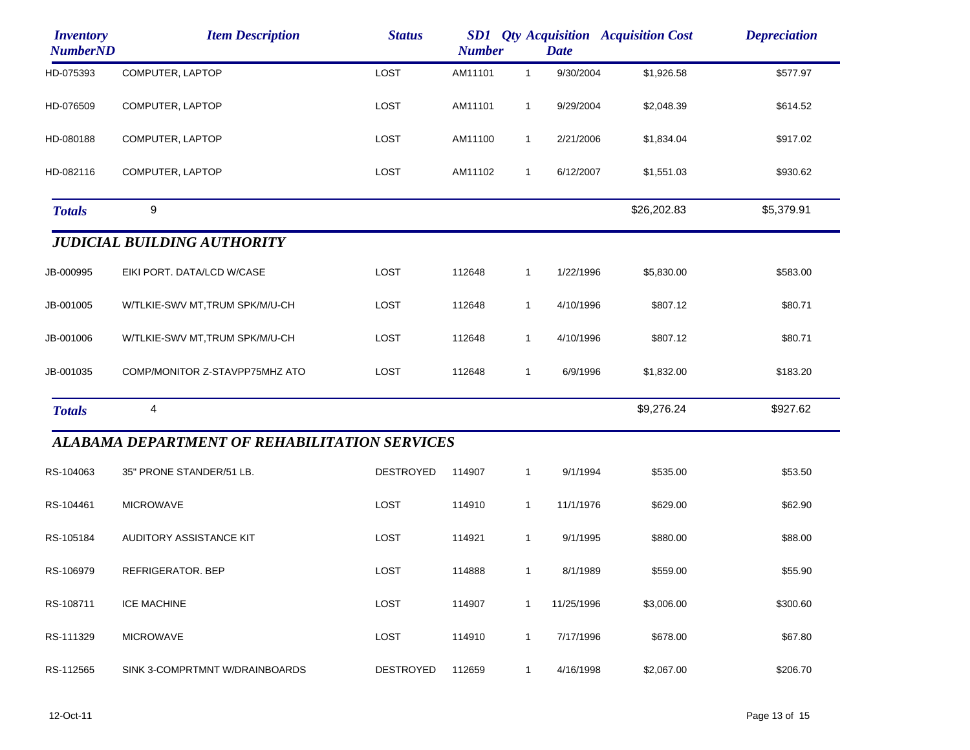| <i><b>Inventory</b></i><br><b>NumberND</b> | <b>Item Description</b>                              | <b>Status</b>    | <b>SD1</b> Qty Acquisition Acquisition Cost<br><b>Number</b><br><b>Date</b> |              |            |             | <b>Depreciation</b> |
|--------------------------------------------|------------------------------------------------------|------------------|-----------------------------------------------------------------------------|--------------|------------|-------------|---------------------|
| HD-075393                                  | COMPUTER, LAPTOP                                     | LOST             | AM11101                                                                     | $\mathbf{1}$ | 9/30/2004  | \$1,926.58  | \$577.97            |
| HD-076509                                  | COMPUTER, LAPTOP                                     | LOST             | AM11101                                                                     | $\mathbf{1}$ | 9/29/2004  | \$2,048.39  | \$614.52            |
| HD-080188                                  | COMPUTER, LAPTOP                                     | LOST             | AM11100                                                                     | $\mathbf{1}$ | 2/21/2006  | \$1,834.04  | \$917.02            |
| HD-082116                                  | COMPUTER, LAPTOP                                     | LOST             | AM11102                                                                     | $\mathbf{1}$ | 6/12/2007  | \$1,551.03  | \$930.62            |
| <b>Totals</b>                              | 9                                                    |                  |                                                                             |              |            | \$26,202.83 | \$5,379.91          |
|                                            | <b>JUDICIAL BUILDING AUTHORITY</b>                   |                  |                                                                             |              |            |             |                     |
| JB-000995                                  | EIKI PORT. DATA/LCD W/CASE                           | LOST             | 112648                                                                      | $\mathbf{1}$ | 1/22/1996  | \$5,830.00  | \$583.00            |
| JB-001005                                  | W/TLKIE-SWV MT, TRUM SPK/M/U-CH                      | LOST             | 112648                                                                      | $\mathbf{1}$ | 4/10/1996  | \$807.12    | \$80.71             |
| JB-001006                                  | W/TLKIE-SWV MT, TRUM SPK/M/U-CH                      | LOST             | 112648                                                                      | $\mathbf{1}$ | 4/10/1996  | \$807.12    | \$80.71             |
| JB-001035                                  | COMP/MONITOR Z-STAVPP75MHZ ATO                       | LOST             | 112648                                                                      | $\mathbf{1}$ | 6/9/1996   | \$1,832.00  | \$183.20            |
| <b>Totals</b>                              | 4                                                    |                  |                                                                             |              |            | \$9,276.24  | \$927.62            |
|                                            | <b>ALABAMA DEPARTMENT OF REHABILITATION SERVICES</b> |                  |                                                                             |              |            |             |                     |
| RS-104063                                  | 35" PRONE STANDER/51 LB.                             | <b>DESTROYED</b> | 114907                                                                      | $\mathbf{1}$ | 9/1/1994   | \$535.00    | \$53.50             |
| RS-104461                                  | <b>MICROWAVE</b>                                     | LOST             | 114910                                                                      | $\mathbf{1}$ | 11/1/1976  | \$629.00    | \$62.90             |
| RS-105184                                  | AUDITORY ASSISTANCE KIT                              | LOST             | 114921                                                                      | $\mathbf{1}$ | 9/1/1995   | \$880.00    | \$88.00             |
| RS-106979                                  | REFRIGERATOR. BEP                                    | LOST             | 114888                                                                      | $\mathbf{1}$ | 8/1/1989   | \$559.00    | \$55.90             |
| RS-108711                                  | <b>ICE MACHINE</b>                                   | LOST             | 114907                                                                      | 1            | 11/25/1996 | \$3,006.00  | \$300.60            |
| RS-111329                                  | <b>MICROWAVE</b>                                     | LOST             | 114910                                                                      | $\mathbf 1$  | 7/17/1996  | \$678.00    | \$67.80             |
| RS-112565                                  | SINK 3-COMPRTMNT W/DRAINBOARDS                       | <b>DESTROYED</b> | 112659                                                                      | $\mathbf{1}$ | 4/16/1998  | \$2,067.00  | \$206.70            |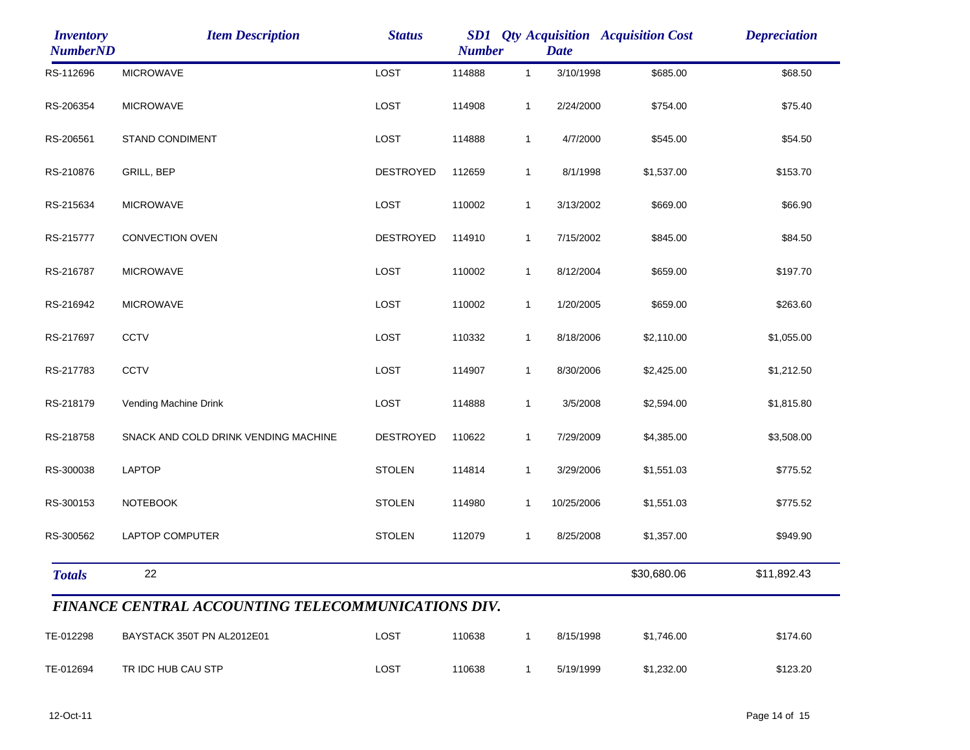| <i><b>Inventory</b></i><br><b>NumberND</b> | <b>Item Description</b>                                   | <b>Status</b>    | <b>Number</b> |              | <b>Date</b> | <b>SD1</b> Qty Acquisition Acquisition Cost | <b>Depreciation</b> |
|--------------------------------------------|-----------------------------------------------------------|------------------|---------------|--------------|-------------|---------------------------------------------|---------------------|
| RS-112696                                  | <b>MICROWAVE</b>                                          | LOST             | 114888        | $\mathbf{1}$ | 3/10/1998   | \$685.00                                    | \$68.50             |
| RS-206354                                  | <b>MICROWAVE</b>                                          | LOST             | 114908        | $\mathbf{1}$ | 2/24/2000   | \$754.00                                    | \$75.40             |
| RS-206561                                  | STAND CONDIMENT                                           | LOST             | 114888        | $\mathbf{1}$ | 4/7/2000    | \$545.00                                    | \$54.50             |
| RS-210876                                  | GRILL, BEP                                                | <b>DESTROYED</b> | 112659        | $\mathbf{1}$ | 8/1/1998    | \$1,537.00                                  | \$153.70            |
| RS-215634                                  | <b>MICROWAVE</b>                                          | LOST             | 110002        | $\mathbf{1}$ | 3/13/2002   | \$669.00                                    | \$66.90             |
| RS-215777                                  | <b>CONVECTION OVEN</b>                                    | <b>DESTROYED</b> | 114910        | $\mathbf{1}$ | 7/15/2002   | \$845.00                                    | \$84.50             |
| RS-216787                                  | <b>MICROWAVE</b>                                          | LOST             | 110002        | $\mathbf{1}$ | 8/12/2004   | \$659.00                                    | \$197.70            |
| RS-216942                                  | <b>MICROWAVE</b>                                          | LOST             | 110002        | $\mathbf{1}$ | 1/20/2005   | \$659.00                                    | \$263.60            |
| RS-217697                                  | <b>CCTV</b>                                               | LOST             | 110332        | $\mathbf{1}$ | 8/18/2006   | \$2,110.00                                  | \$1,055.00          |
| RS-217783                                  | CCTV                                                      | LOST             | 114907        | $\mathbf{1}$ | 8/30/2006   | \$2,425.00                                  | \$1,212.50          |
| RS-218179                                  | Vending Machine Drink                                     | LOST             | 114888        | $\mathbf{1}$ | 3/5/2008    | \$2,594.00                                  | \$1,815.80          |
| RS-218758                                  | SNACK AND COLD DRINK VENDING MACHINE                      | DESTROYED        | 110622        | $\mathbf{1}$ | 7/29/2009   | \$4,385.00                                  | \$3,508.00          |
| RS-300038                                  | LAPTOP                                                    | <b>STOLEN</b>    | 114814        | $\mathbf{1}$ | 3/29/2006   | \$1,551.03                                  | \$775.52            |
| RS-300153                                  | <b>NOTEBOOK</b>                                           | <b>STOLEN</b>    | 114980        | 1            | 10/25/2006  | \$1,551.03                                  | \$775.52            |
| RS-300562                                  | LAPTOP COMPUTER                                           | <b>STOLEN</b>    | 112079        | $\mathbf{1}$ | 8/25/2008   | \$1,357.00                                  | \$949.90            |
| <b>Totals</b>                              | 22                                                        |                  |               |              |             | \$30,680.06                                 | \$11,892.43         |
|                                            | <b>FINANCE CENTRAL ACCOUNTING TELECOMMUNICATIONS DIV.</b> |                  |               |              |             |                                             |                     |
| TE-012298                                  | BAYSTACK 350T PN AL2012E01                                | LOST             | 110638        | $\mathbf{1}$ | 8/15/1998   | \$1,746.00                                  | \$174.60            |
| TE-012694                                  | TR IDC HUB CAU STP                                        | LOST             | 110638        | $\mathbf{1}$ | 5/19/1999   | \$1,232.00                                  | \$123.20            |